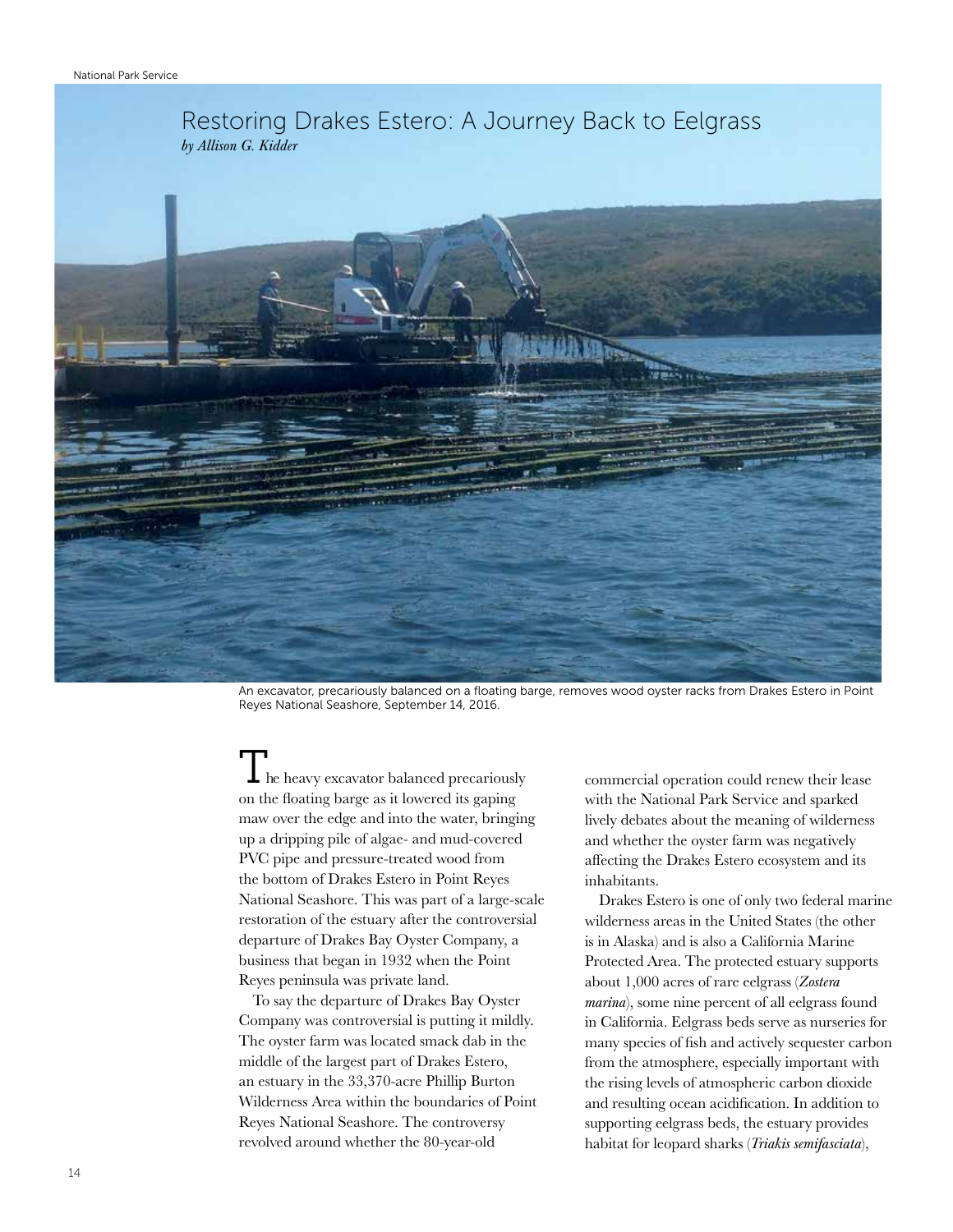

An excavator, precariously balanced on a floating barge, removes wood oyster racks from Drakes Estero in Point Reyes National Seashore, September 14, 2016.

 $\perp$  he heavy excavator balanced precariously on the floating barge as it lowered its gaping maw over the edge and into the water, bringing up a dripping pile of algae- and mud-covered PVC pipe and pressure-treated wood from the bottom of Drakes Estero in Point Reyes National Seashore. This was part of a large-scale restoration of the estuary after the controversial departure of Drakes Bay Oyster Company, a business that began in 1932 when the Point Reyes peninsula was private land.

To say the departure of Drakes Bay Oyster Company was controversial is putting it mildly. The oyster farm was located smack dab in the middle of the largest part of Drakes Estero, an estuary in the 33,370-acre Phillip Burton Wilderness Area within the boundaries of Point Reyes National Seashore. The controversy revolved around whether the 80-year-old

commercial operation could renew their lease with the National Park Service and sparked lively debates about the meaning of wilderness and whether the oyster farm was negatively affecting the Drakes Estero ecosystem and its inhabitants.

Drakes Estero is one of only two federal marine wilderness areas in the United States (the other is in Alaska) and is also a California Marine Protected Area. The protected estuary supports about 1,000 acres of rare eelgrass (*Zostera marina*), some nine percent of all eelgrass found in California. Eelgrass beds serve as nurseries for many species of fish and actively sequester carbon from the atmosphere, especially important with the rising levels of atmospheric carbon dioxide and resulting ocean acidification. In addition to supporting eelgrass beds, the estuary provides habitat for leopard sharks (*Triakis semifasciata*),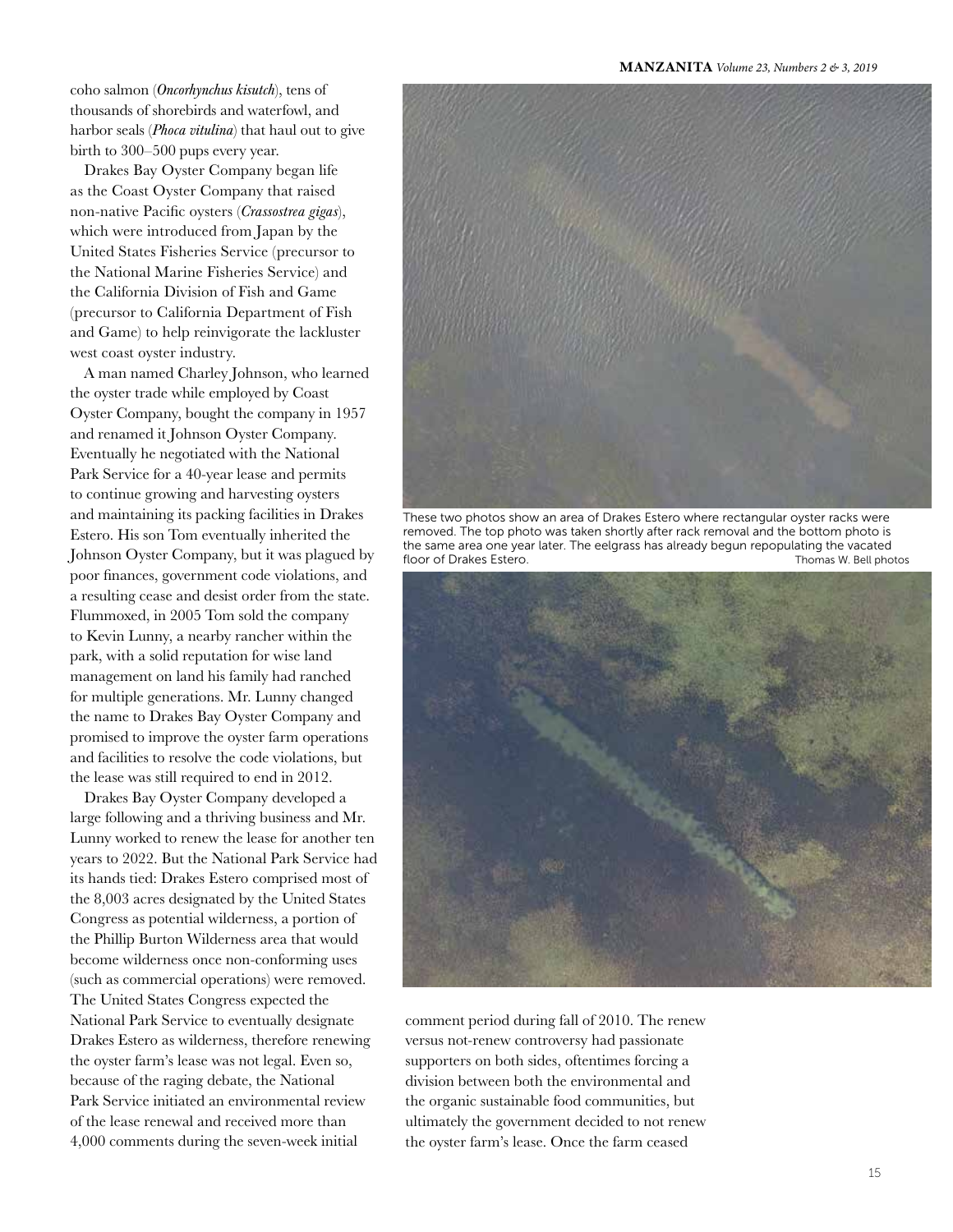MANZANITA *Volume 23, Numbers 2 & 3, 2019*

coho salmon (*Oncorhynchus kisutch*), tens of thousands of shorebirds and waterfowl, and harbor seals (*Phoca vitulina*) that haul out to give birth to 300–500 pups every year.

Drakes Bay Oyster Company began life as the Coast Oyster Company that raised non-native Pacific oysters (*Crassostrea gigas*), which were introduced from Japan by the United States Fisheries Service (precursor to the National Marine Fisheries Service) and the California Division of Fish and Game (precursor to California Department of Fish and Game) to help reinvigorate the lackluster west coast oyster industry.

A man named Charley Johnson, who learned the oyster trade while employed by Coast Oyster Company, bought the company in 1957 and renamed it Johnson Oyster Company. Eventually he negotiated with the National Park Service for a 40-year lease and permits to continue growing and harvesting oysters and maintaining its packing facilities in Drakes Estero. His son Tom eventually inherited the Johnson Oyster Company, but it was plagued by poor finances, government code violations, and a resulting cease and desist order from the state. Flummoxed, in 2005 Tom sold the company to Kevin Lunny, a nearby rancher within the park, with a solid reputation for wise land management on land his family had ranched for multiple generations. Mr. Lunny changed the name to Drakes Bay Oyster Company and promised to improve the oyster farm operations and facilities to resolve the code violations, but the lease was still required to end in 2012.

Drakes Bay Oyster Company developed a large following and a thriving business and Mr. Lunny worked to renew the lease for another ten years to 2022. But the National Park Service had its hands tied: Drakes Estero comprised most of the 8,003 acres designated by the United States Congress as potential wilderness, a portion of the Phillip Burton Wilderness area that would become wilderness once non-conforming uses (such as commercial operations) were removed. The United States Congress expected the National Park Service to eventually designate Drakes Estero as wilderness, therefore renewing the oyster farm's lease was not legal. Even so, because of the raging debate, the National Park Service initiated an environmental review of the lease renewal and received more than 4,000 comments during the seven-week initial



These two photos show an area of Drakes Estero where rectangular oyster racks were removed. The top photo was taken shortly after rack removal and the bottom photo is the same area one year later. The eelgrass has already begun repopulating the vacated floor of Drakes Estero. Thomas W. Bell photos



comment period during fall of 2010. The renew versus not-renew controversy had passionate supporters on both sides, oftentimes forcing a division between both the environmental and the organic sustainable food communities, but ultimately the government decided to not renew the oyster farm's lease. Once the farm ceased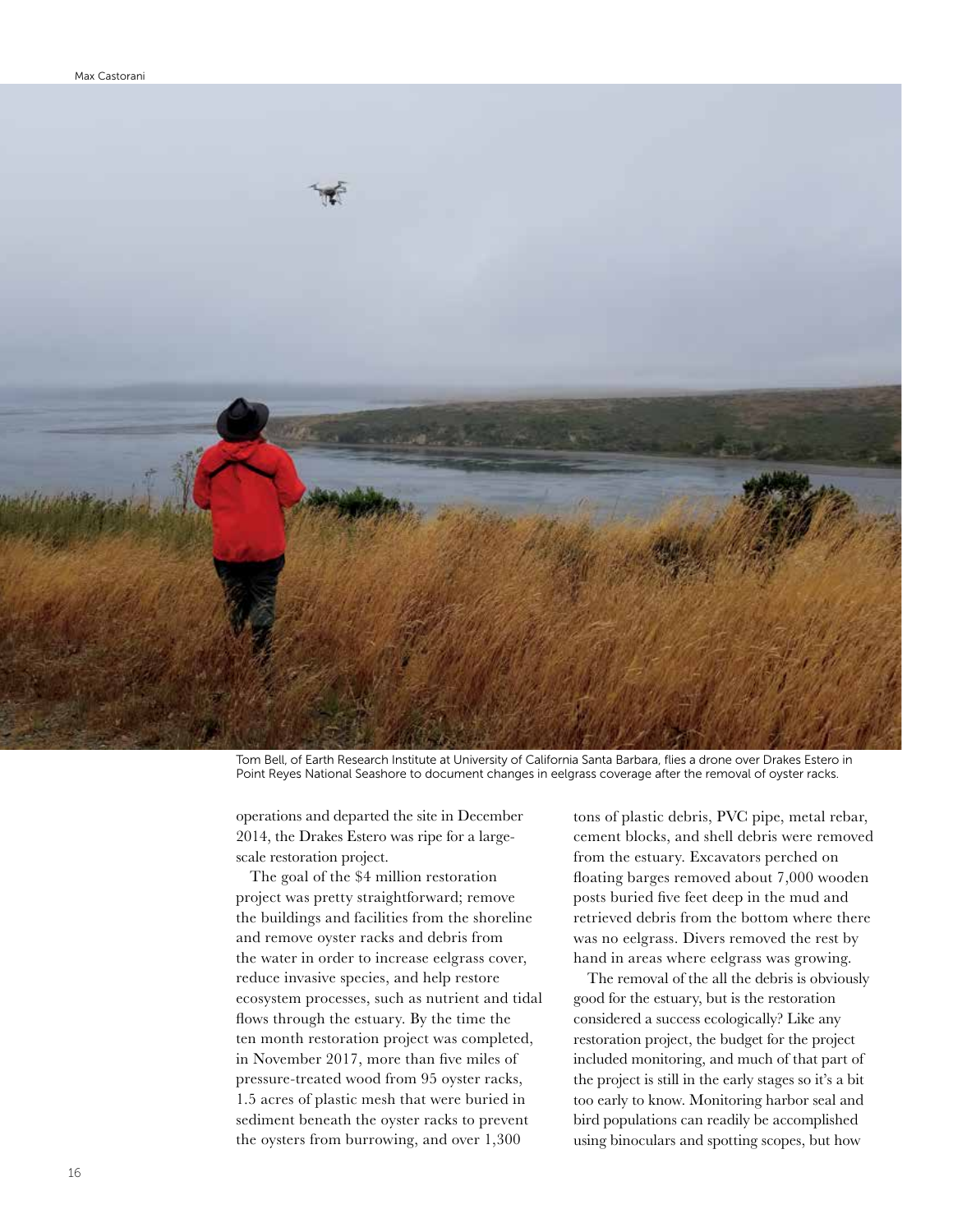

Tom Bell, of Earth Research Institute at University of California Santa Barbara, flies a drone over Drakes Estero in Point Reyes National Seashore to document changes in eelgrass coverage after the removal of oyster racks.

operations and departed the site in December 2014, the Drakes Estero was ripe for a largescale restoration project.

The goal of the \$4 million restoration project was pretty straightforward; remove the buildings and facilities from the shoreline and remove oyster racks and debris from the water in order to increase eelgrass cover, reduce invasive species, and help restore ecosystem processes, such as nutrient and tidal flows through the estuary. By the time the ten month restoration project was completed, in November 2017, more than five miles of pressure-treated wood from 95 oyster racks, 1.5 acres of plastic mesh that were buried in sediment beneath the oyster racks to prevent the oysters from burrowing, and over 1,300

tons of plastic debris, PVC pipe, metal rebar, cement blocks, and shell debris were removed from the estuary. Excavators perched on floating barges removed about 7,000 wooden posts buried five feet deep in the mud and retrieved debris from the bottom where there was no eelgrass. Divers removed the rest by hand in areas where eelgrass was growing.

The removal of the all the debris is obviously good for the estuary, but is the restoration considered a success ecologically? Like any restoration project, the budget for the project included monitoring, and much of that part of the project is still in the early stages so it's a bit too early to know. Monitoring harbor seal and bird populations can readily be accomplished using binoculars and spotting scopes, but how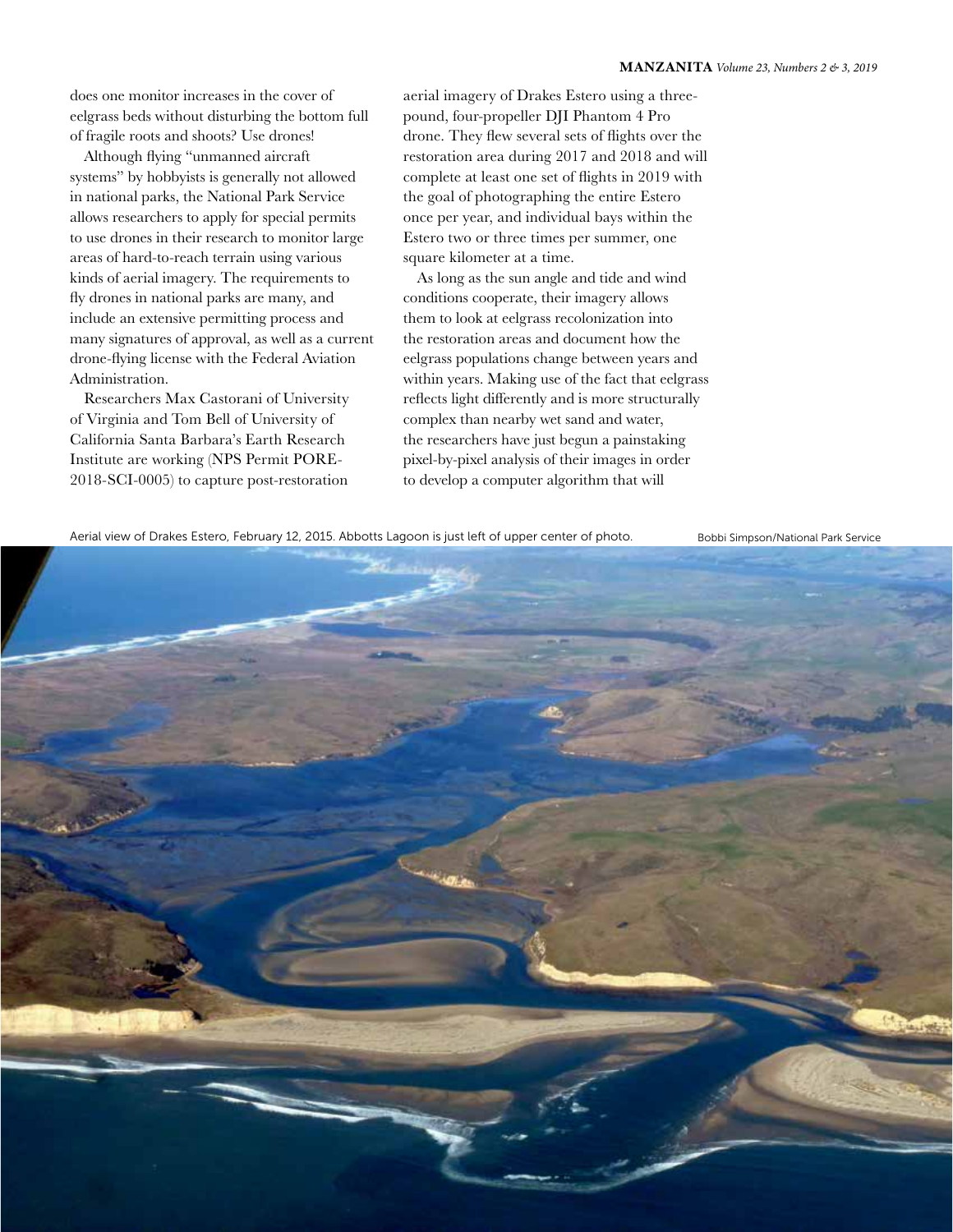does one monitor increases in the cover of eelgrass beds without disturbing the bottom full of fragile roots and shoots? Use drones!

Although flying "unmanned aircraft systems" by hobbyists is generally not allowed in national parks, the National Park Service allows researchers to apply for special permits to use drones in their research to monitor large areas of hard-to-reach terrain using various kinds of aerial imagery. The requirements to fly drones in national parks are many, and include an extensive permitting process and many signatures of approval, as well as a current drone-flying license with the Federal Aviation Administration.

Researchers Max Castorani of University of Virginia and Tom Bell of University of California Santa Barbara's Earth Research Institute are working (NPS Permit PORE-2018-SCI-0005) to capture post-restoration

aerial imagery of Drakes Estero using a threepound, four-propeller DJI Phantom 4 Pro drone. They flew several sets of flights over the restoration area during 2017 and 2018 and will complete at least one set of flights in 2019 with the goal of photographing the entire Estero once per year, and individual bays within the Estero two or three times per summer, one square kilometer at a time.

As long as the sun angle and tide and wind conditions cooperate, their imagery allows them to look at eelgrass recolonization into the restoration areas and document how the eelgrass populations change between years and within years. Making use of the fact that eelgrass reflects light differently and is more structurally complex than nearby wet sand and water, the researchers have just begun a painstaking pixel-by-pixel analysis of their images in order to develop a computer algorithm that will

Aerial view of Drakes Estero, February 12, 2015. Abbotts Lagoon is just left of upper center of photo. Bobbi Simpson/National Park Service